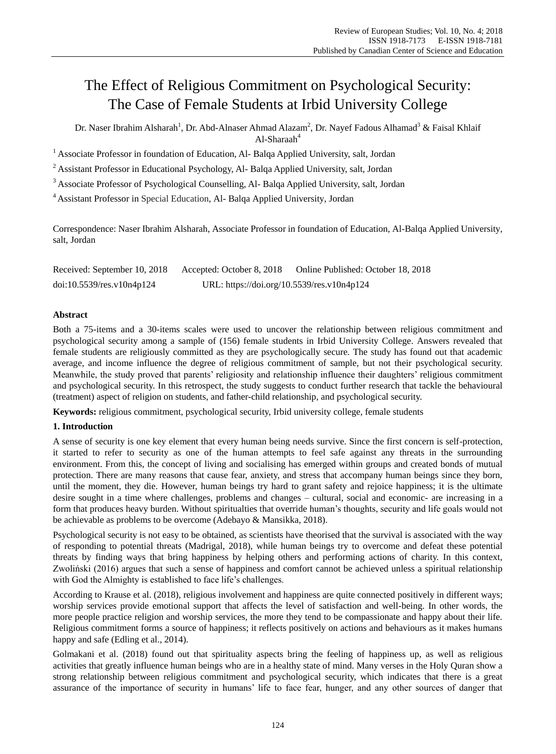# The Effect of Religious Commitment on Psychological Security: The Case of Female Students at Irbid University College

Dr. Naser Ibrahim Alsharah<sup>1</sup>, Dr. Abd-Alnaser Ahmad Alazam<sup>2</sup>, Dr. Nayef Fadous Alhamad<sup>3</sup> & Faisal Khlaif Al-Sharaah<sup>4</sup>

<sup>1</sup> Associate Professor in foundation of Education, Al-Balqa Applied University, salt, Jordan

<sup>2</sup> Assistant Professor in Educational Psychology, Al- Balga Applied University, salt, Jordan

<sup>3</sup> Associate Professor of Psychological Counselling, Al- Balqa Applied University, salt, Jordan

<sup>4</sup>Assistant Professor in Special Education, Al- Balqa Applied University, Jordan

Correspondence: Naser Ibrahim Alsharah, Associate Professor in foundation of Education, Al-Balqa Applied University, salt, Jordan

| Received: September 10, 2018 | Accepted: October 8, 2018                  | Online Published: October 18, 2018 |
|------------------------------|--------------------------------------------|------------------------------------|
| $doi:10.5539$ /res.v10n4p124 | URL: https://doi.org/10.5539/res.v10n4p124 |                                    |

## **Abstract**

Both a 75-items and a 30-items scales were used to uncover the relationship between religious commitment and psychological security among a sample of (156) female students in Irbid University College. Answers revealed that female students are religiously committed as they are psychologically secure. The study has found out that academic average, and income influence the degree of religious commitment of sample, but not their psychological security. Meanwhile, the study proved that parents" religiosity and relationship influence their daughters" religious commitment and psychological security. In this retrospect, the study suggests to conduct further research that tackle the behavioural (treatment) aspect of religion on students, and father-child relationship, and psychological security.

**Keywords:** religious commitment, psychological security, Irbid university college, female students

## **1. Introduction**

A sense of security is one key element that every human being needs survive. Since the first concern is self-protection, it started to refer to security as one of the human attempts to feel safe against any threats in the surrounding environment. From this, the concept of living and socialising has emerged within groups and created bonds of mutual protection. There are many reasons that cause fear, anxiety, and stress that accompany human beings since they born, until the moment, they die. However, human beings try hard to grant safety and rejoice happiness; it is the ultimate desire sought in a time where challenges, problems and changes – cultural, social and economic- are increasing in a form that produces heavy burden. Without spiritualties that override human"s thoughts, security and life goals would not be achievable as problems to be overcome (Adebayo & Mansikka, 2018).

Psychological security is not easy to be obtained, as scientists have theorised that the survival is associated with the way of responding to potential threats (Madrigal, 2018), while human beings try to overcome and defeat these potential threats by finding ways that bring happiness by helping others and performing actions of charity. In this context, Zwoliński (2016) argues that such a sense of happiness and comfort cannot be achieved unless a spiritual relationship with God the Almighty is established to face life's challenges.

According to Krause et al. (2018), religious involvement and happiness are quite connected positively in different ways; worship services provide emotional support that affects the level of satisfaction and well-being. In other words, the more people practice religion and worship services, the more they tend to be compassionate and happy about their life. Religious commitment forms a source of happiness; it reflects positively on actions and behaviours as it makes humans happy and safe (Edling et al., 2014).

Golmakani et al. (2018) found out that spirituality aspects bring the feeling of happiness up, as well as religious activities that greatly influence human beings who are in a healthy state of mind. Many verses in the Holy Quran show a strong relationship between religious commitment and psychological security, which indicates that there is a great assurance of the importance of security in humans" life to face fear, hunger, and any other sources of danger that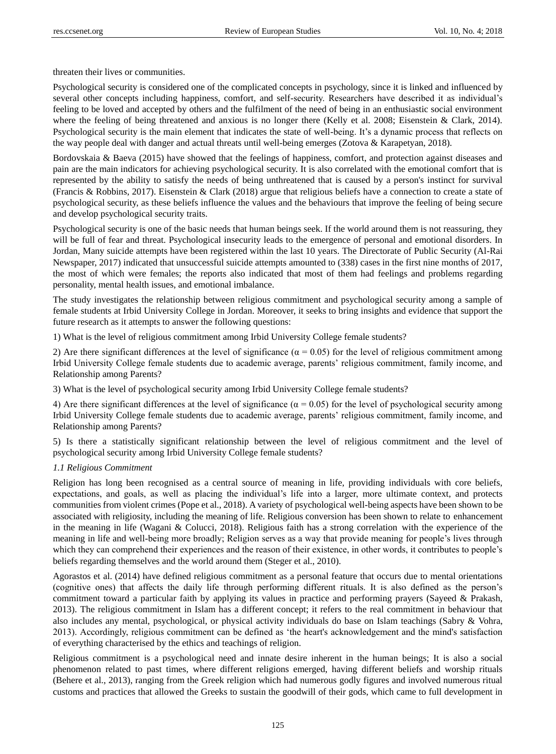threaten their lives or communities.

Psychological security is considered one of the complicated concepts in psychology, since it is linked and influenced by several other concepts including happiness, comfort, and self-security. Researchers have described it as individual"s feeling to be loved and accepted by others and the fulfilment of the need of being in an enthusiastic social environment where the feeling of being threatened and anxious is no longer there (Kelly et al. 2008; Eisenstein & Clark, 2014). Psychological security is the main element that indicates the state of well-being. It"s a dynamic process that reflects on the way people deal with danger and actual threats until well-being emerges (Zotova & Karapetyan, 2018).

Bordovskaia & Baeva (2015) have showed that the feelings of happiness, comfort, and protection against diseases and pain are the main indicators for achieving psychological security. It is also correlated with the emotional comfort that is represented by the ability to satisfy the needs of being unthreatened that is caused by a person's instinct for survival (Francis & Robbins, 2017). Eisenstein & Clark (2018) argue that religious beliefs have a connection to create a state of psychological security, as these beliefs influence the values and the behaviours that improve the feeling of being secure and develop psychological security traits.

Psychological security is one of the basic needs that human beings seek. If the world around them is not reassuring, they will be full of fear and threat. Psychological insecurity leads to the emergence of personal and emotional disorders. In Jordan, Many suicide attempts have been registered within the last 10 years. The Directorate of Public Security (Al-Rai Newspaper, 2017) indicated that unsuccessful suicide attempts amounted to (338) cases in the first nine months of 2017, the most of which were females; the reports also indicated that most of them had feelings and problems regarding personality, mental health issues, and emotional imbalance.

The study investigates the relationship between religious commitment and psychological security among a sample of female students at Irbid University College in Jordan. Moreover, it seeks to bring insights and evidence that support the future research as it attempts to answer the following questions:

1) What is the level of religious commitment among Irbid University College female students?

2) Are there significant differences at the level of significance ( $\alpha$  = 0.05) for the level of religious commitment among Irbid University College female students due to academic average, parents" religious commitment, family income, and Relationship among Parents?

3) What is the level of psychological security among Irbid University College female students?

4) Are there significant differences at the level of significance ( $\alpha$  = 0.05) for the level of psychological security among Irbid University College female students due to academic average, parents" religious commitment, family income, and Relationship among Parents?

5) Is there a statistically significant relationship between the level of religious commitment and the level of psychological security among Irbid University College female students?

### *1.1 Religious Commitment*

Religion has long been recognised as a central source of meaning in life, providing individuals with core beliefs, expectations, and goals, as well as placing the individual"s life into a larger, more ultimate context, and protects communities from violent crimes (Pope et al., 2018). A variety of psychological well-being aspects have been shown to be associated with religiosity, including the meaning of life. Religious conversion has been shown to relate to enhancement in the meaning in life (Wagani & Colucci, 2018). Religious faith has a strong correlation with the experience of the meaning in life and well-being more broadly; Religion serves as a way that provide meaning for people"s lives through which they can comprehend their experiences and the reason of their existence, in other words, it contributes to people's beliefs regarding themselves and the world around them (Steger et al., 2010).

Agorastos et al. (2014) have defined religious commitment as a personal feature that occurs due to mental orientations (cognitive ones) that affects the daily life through performing different rituals. It is also defined as the person"s commitment toward a particular faith by applying its values in practice and performing prayers (Sayeed & Prakash, 2013). The religious commitment in Islam has a different concept; it refers to the real commitment in behaviour that also includes any mental, psychological, or physical activity individuals do base on Islam teachings (Sabry & Vohra, 2013). Accordingly, religious commitment can be defined as "the heart's acknowledgement and the mind's satisfaction of everything characterised by the ethics and teachings of religion.

Religious commitment is a psychological need and innate desire inherent in the human beings; It is also a social phenomenon related to past times, where different religions emerged, having different beliefs and worship rituals (Behere et al., 2013), ranging from the Greek religion which had numerous godly figures and involved numerous ritual customs and practices that allowed the Greeks to sustain the goodwill of their gods, which came to full development in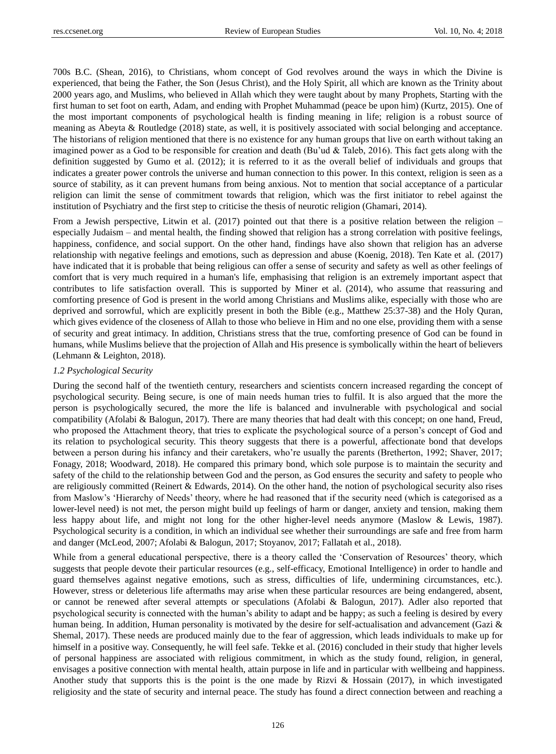700s B.C. (Shean, 2016), to Christians, whom concept of God revolves around the ways in which the Divine is experienced, that being the Father, the Son (Jesus Christ), and the Holy Spirit, all which are known as the Trinity about 2000 years ago, and Muslims, who believed in Allah which they were taught about by many Prophets, Starting with the first human to set foot on earth, Adam, and ending with Prophet Muhammad (peace be upon him) (Kurtz, 2015). One of the most important components of psychological health is finding meaning in life; religion is a robust source of meaning as Abeyta & Routledge (2018) state, as well, it is positively associated with social belonging and acceptance. The historians of religion mentioned that there is no existence for any human groups that live on earth without taking an imagined power as a God to be responsible for creation and death (Bu'ud & Taleb, 2016). This fact gets along with the definition suggested by Gumo et al. (2012); it is referred to it as the overall belief of individuals and groups that indicates a greater power controls the universe and human connection to this power. In this context, religion is seen as a source of stability, as it can prevent humans from being anxious. Not to mention that social acceptance of a particular religion can limit the sense of commitment towards that religion, which was the first initiator to rebel against the institution of Psychiatry and the first step to criticise the thesis of neurotic religion (Ghamari, 2014).

From a Jewish perspective, Litwin et al. (2017) pointed out that there is a positive relation between the religion – especially Judaism – and mental health, the finding showed that religion has a strong correlation with positive feelings, happiness, confidence, and social support. On the other hand, findings have also shown that religion has an adverse relationship with negative feelings and emotions, such as depression and abuse (Koenig, 2018). Ten Kate et al. (2017) have indicated that it is probable that being religious can offer a sense of security and safety as well as other feelings of comfort that is very much required in a human's life, emphasising that religion is an extremely important aspect that contributes to life satisfaction overall. This is supported by Miner et al. (2014), who assume that reassuring and comforting presence of God is present in the world among Christians and Muslims alike, especially with those who are deprived and sorrowful, which are explicitly present in both the Bible (e.g., Matthew 25:37-38) and the Holy Quran, which gives evidence of the closeness of Allah to those who believe in Him and no one else, providing them with a sense of security and great intimacy. In addition, Christians stress that the true, comforting presence of God can be found in humans, while Muslims believe that the projection of Allah and His presence is symbolically within the heart of believers (Lehmann & Leighton, 2018).

### *1.2 Psychological Security*

During the second half of the twentieth century, researchers and scientists concern increased regarding the concept of psychological security. Being secure, is one of main needs human tries to fulfil. It is also argued that the more the person is psychologically secured, the more the life is balanced and invulnerable with psychological and social compatibility (Afolabi & Balogun, 2017). There are many theories that had dealt with this concept; on one hand, Freud, who proposed the Attachment theory, that tries to explicate the psychological source of a person"s concept of God and its relation to psychological security. This theory suggests that there is a powerful, affectionate bond that develops between a person during his infancy and their caretakers, who"re usually the parents (Bretherton, 1992; Shaver, 2017; Fonagy, 2018; Woodward, 2018). He compared this primary bond, which sole purpose is to maintain the security and safety of the child to the relationship between God and the person, as God ensures the security and safety to people who are religiously committed (Reinert & Edwards, 2014). On the other hand, the notion of psychological security also rises from Maslow's 'Hierarchy of Needs' theory, where he had reasoned that if the security need (which is categorised as a lower-level need) is not met, the person might build up feelings of harm or danger, anxiety and tension, making them less happy about life, and might not long for the other higher-level needs anymore (Maslow & Lewis, 1987). Psychological security is a condition, in which an individual see whether their surroundings are safe and free from harm and danger (McLeod, 2007; Afolabi & Balogun, 2017; Stoyanov, 2017; Fallatah et al., 2018).

While from a general educational perspective, there is a theory called the 'Conservation of Resources' theory, which suggests that people devote their particular resources (e.g., self-efficacy, Emotional Intelligence) in order to handle and guard themselves against negative emotions, such as stress, difficulties of life, undermining circumstances, etc.). However, stress or deleterious life aftermaths may arise when these particular resources are being endangered, absent, or cannot be renewed after several attempts or speculations (Afolabi & Balogun, 2017). Adler also reported that psychological security is connected with the human"s ability to adapt and be happy; as such a feeling is desired by every human being. In addition, Human personality is motivated by the desire for self-actualisation and advancement (Gazi & Shemal, 2017). These needs are produced mainly due to the fear of aggression, which leads individuals to make up for himself in a positive way. Consequently, he will feel safe. Tekke et al. (2016) concluded in their study that higher levels of personal happiness are associated with religious commitment, in which as the study found, religion, in general, envisages a positive connection with mental health, attain purpose in life and in particular with wellbeing and happiness. Another study that supports this is the point is the one made by Rizvi & Hossain (2017), in which investigated religiosity and the state of security and internal peace. The study has found a direct connection between and reaching a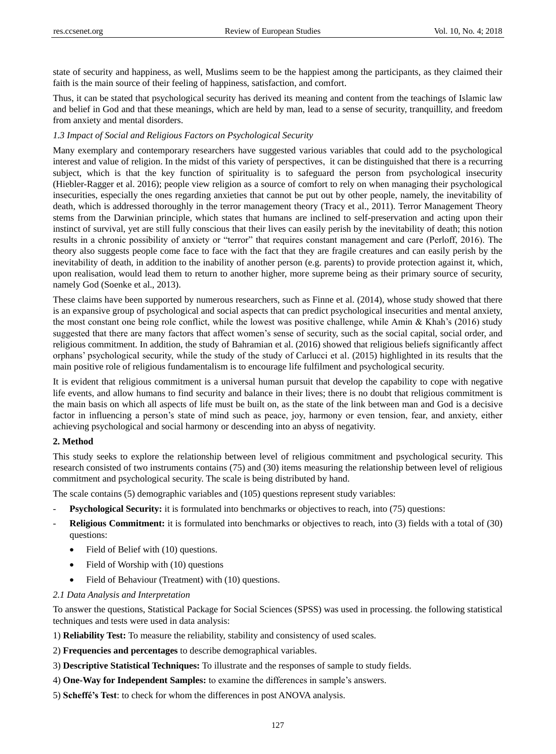state of security and happiness, as well, Muslims seem to be the happiest among the participants, as they claimed their faith is the main source of their feeling of happiness, satisfaction, and comfort.

Thus, it can be stated that psychological security has derived its meaning and content from the teachings of Islamic law and belief in God and that these meanings, which are held by man, lead to a sense of security, tranquillity, and freedom from anxiety and mental disorders.

### *1.3 Impact of Social and Religious Factors on Psychological Security*

Many exemplary and contemporary researchers have suggested various variables that could add to the psychological interest and value of religion. In the midst of this variety of perspectives, it can be distinguished that there is a recurring subject, which is that the key function of spirituality is to safeguard the person from psychological insecurity (Hiebler-Ragger et al. 2016); people view religion as a source of comfort to rely on when managing their psychological insecurities, especially the ones regarding anxieties that cannot be put out by other people, namely, the inevitability of death, which is addressed thoroughly in the terror management theory (Tracy et al., 2011). Terror Management Theory stems from the Darwinian principle, which states that humans are inclined to self-preservation and acting upon their instinct of survival, yet are still fully conscious that their lives can easily perish by the inevitability of death; this notion results in a chronic possibility of anxiety or "terror" that requires constant management and care (Perloff, 2016). The theory also suggests people come face to face with the fact that they are fragile creatures and can easily perish by the inevitability of death, in addition to the inability of another person (e.g. parents) to provide protection against it, which, upon realisation, would lead them to return to another higher, more supreme being as their primary source of security, namely God (Soenke et al., 2013).

These claims have been supported by numerous researchers, such as Finne et al. (2014), whose study showed that there is an expansive group of psychological and social aspects that can predict psychological insecurities and mental anxiety, the most constant one being role conflict, while the lowest was positive challenge, while Amin & Khah"s (2016) study suggested that there are many factors that affect women"s sense of security, such as the social capital, social order, and religious commitment. In addition, the study of Bahramian et al. (2016) showed that religious beliefs significantly affect orphans" psychological security, while the study of the study of Carlucci et al. (2015) highlighted in its results that the main positive role of religious fundamentalism is to encourage life fulfilment and psychological security.

It is evident that religious commitment is a universal human pursuit that develop the capability to cope with negative life events, and allow humans to find security and balance in their lives; there is no doubt that religious commitment is the main basis on which all aspects of life must be built on, as the state of the link between man and God is a decisive factor in influencing a person's state of mind such as peace, joy, harmony or even tension, fear, and anxiety, either achieving psychological and social harmony or descending into an abyss of negativity.

#### **2. Method**

This study seeks to explore the relationship between level of religious commitment and psychological security. This research consisted of two instruments contains (75) and (30) items measuring the relationship between level of religious commitment and psychological security. The scale is being distributed by hand.

The scale contains (5) demographic variables and (105) questions represent study variables:

- **Psychological Security:** it is formulated into benchmarks or objectives to reach, into (75) questions:
- **Religious Commitment:** it is formulated into benchmarks or objectives to reach, into (3) fields with a total of (30) questions:
	- Field of Belief with (10) questions.
	- Field of Worship with (10) questions
	- Field of Behaviour (Treatment) with (10) questions.
- *2.1 Data Analysis and Interpretation*

To answer the questions, Statistical Package for Social Sciences (SPSS) was used in processing. the following statistical techniques and tests were used in data analysis:

1) **Reliability Test:** To measure the reliability, stability and consistency of used scales.

- 2) **Frequencies and percentages** to describe demographical variables.
- 3) **Descriptive Statistical Techniques:** To illustrate and the responses of sample to study fields.
- 4) **One-Way for Independent Samples:** to examine the differences in sample"s answers.
- 5) **Scheffé's Test**: to check for whom the differences in post ANOVA analysis.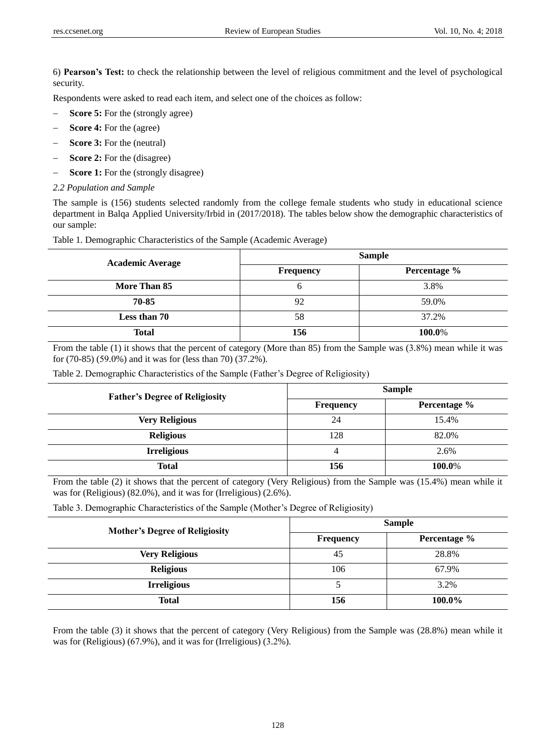6) **Pearson's Test:** to check the relationship between the level of religious commitment and the level of psychological security.

Respondents were asked to read each item, and select one of the choices as follow:

- **Score 5:** For the (strongly agree)
- **Score 4:** For the (agree)
- **Score 3:** For the (neutral)
- **Score 2:** For the (disagree)
- **Score 1:** For the (strongly disagree)

#### *2.2 Population and Sample*

The sample is (156) students selected randomly from the college female students who study in educational science department in Balqa Applied University/Irbid in (2017/2018). The tables below show the demographic characteristics of our sample:

|  | Table 1. Demographic Characteristics of the Sample (Academic Average) |  |  |  |
|--|-----------------------------------------------------------------------|--|--|--|
|--|-----------------------------------------------------------------------|--|--|--|

| <b>Academic Average</b> | <b>Sample</b> |              |  |  |
|-------------------------|---------------|--------------|--|--|
|                         | Frequency     | Percentage % |  |  |
| More Than 85            | <sub>0</sub>  | 3.8%         |  |  |
| 70-85                   | 92            | 59.0%        |  |  |
| Less than 70            | 58            | 37.2%        |  |  |
| <b>Total</b>            | 156           | 100.0%       |  |  |

From the table (1) it shows that the percent of category (More than 85) from the Sample was (3.8%) mean while it was for (70-85) (59.0%) and it was for (less than 70) (37.2%).

| Table 2. Demographic Characteristics of the Sample (Father's Degree of Religiosity) |  |  |
|-------------------------------------------------------------------------------------|--|--|
|                                                                                     |  |  |

| <b>Father's Degree of Religiosity</b> | <b>Sample</b> |              |  |  |
|---------------------------------------|---------------|--------------|--|--|
|                                       | Frequency     | Percentage % |  |  |
| <b>Very Religious</b>                 | 24            | 15.4%        |  |  |
| <b>Religious</b>                      | 128           | 82.0%        |  |  |
| <b>Irreligious</b>                    | 4             | 2.6%         |  |  |
| <b>Total</b>                          | 156           | 100.0%       |  |  |

From the table (2) it shows that the percent of category (Very Religious) from the Sample was (15.4%) mean while it was for (Religious) (82.0%), and it was for (Irreligious) (2.6%).

Table 3. Demographic Characteristics of the Sample (Mother"s Degree of Religiosity)

| <b>Mother's Degree of Religiosity</b> | <b>Sample</b>    |              |  |
|---------------------------------------|------------------|--------------|--|
|                                       | <b>Frequency</b> | Percentage % |  |
| <b>Very Religious</b>                 | 45               | 28.8%        |  |
| <b>Religious</b>                      | 106              | 67.9%        |  |
| <b>Irreligious</b>                    |                  | 3.2%         |  |
| <b>Total</b>                          | 156              | 100.0%       |  |

From the table (3) it shows that the percent of category (Very Religious) from the Sample was (28.8%) mean while it was for (Religious) (67.9%), and it was for (Irreligious) (3.2%).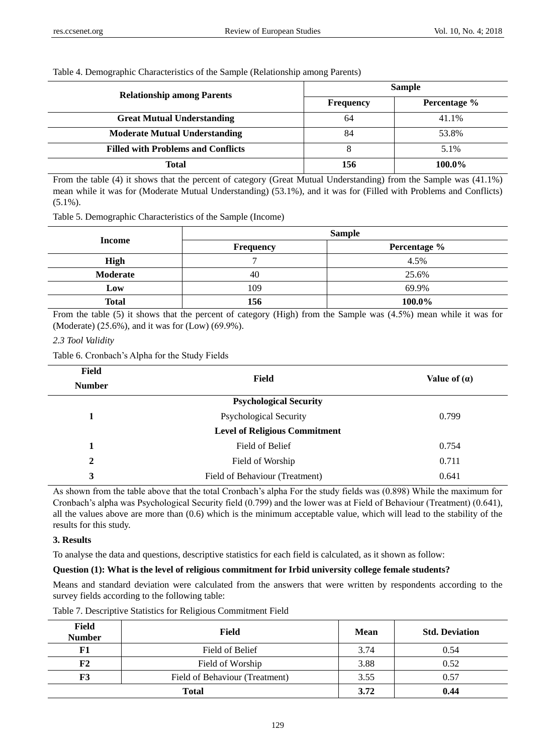## Table 4. Demographic Characteristics of the Sample (Relationship among Parents)

| <b>Relationship among Parents</b>         |           | <b>Sample</b> |  |  |
|-------------------------------------------|-----------|---------------|--|--|
|                                           | Frequency | Percentage %  |  |  |
| <b>Great Mutual Understanding</b>         | 64        | 41.1%         |  |  |
| <b>Moderate Mutual Understanding</b>      | 84        | 53.8%         |  |  |
| <b>Filled with Problems and Conflicts</b> |           | 5.1%          |  |  |
| Total                                     | 156       | 100.0%        |  |  |

From the table (4) it shows that the percent of category (Great Mutual Understanding) from the Sample was (41.1%) mean while it was for (Moderate Mutual Understanding) (53.1%), and it was for (Filled with Problems and Conflicts) (5.1%).

Table 5. Demographic Characteristics of the Sample (Income)

|              |                  | <b>Sample</b> |
|--------------|------------------|---------------|
| Income       | <b>Frequency</b> | Percentage %  |
| <b>High</b>  |                  | 4.5%          |
| Moderate     | 40               | 25.6%         |
| Low          | 109              | 69.9%         |
| <b>Total</b> | 156              | 100.0%        |

From the table (5) it shows that the percent of category (High) from the Sample was (4.5%) mean while it was for (Moderate) (25.6%), and it was for (Low) (69.9%).

## *2.3 Tool Validity*

Table 6. Cronbach"s Alpha for the Study Fields

| <b>Field</b>  | <b>Field</b>                         | Value of $(a)$ |  |  |
|---------------|--------------------------------------|----------------|--|--|
| <b>Number</b> |                                      |                |  |  |
|               | <b>Psychological Security</b>        |                |  |  |
|               | <b>Psychological Security</b>        | 0.799          |  |  |
|               | <b>Level of Religious Commitment</b> |                |  |  |
| 1             | Field of Belief                      | 0.754          |  |  |
| $\mathbf{2}$  | Field of Worship                     | 0.711          |  |  |
| 3             | Field of Behaviour (Treatment)       | 0.641          |  |  |

As shown from the table above that the total Cronbach"s alpha For the study fields was (0.898) While the maximum for Cronbach"s alpha was Psychological Security field (0.799) and the lower was at Field of Behaviour (Treatment) (0.641), all the values above are more than (0.6) which is the minimum acceptable value, which will lead to the stability of the results for this study.

## **3. Results**

To analyse the data and questions, descriptive statistics for each field is calculated, as it shown as follow:

## **Question (1): What is the level of religious commitment for Irbid university college female students?**

Means and standard deviation were calculated from the answers that were written by respondents according to the survey fields according to the following table:

| Field<br><b>Number</b> | <b>Field</b>                   | <b>Mean</b> | <b>Std. Deviation</b> |
|------------------------|--------------------------------|-------------|-----------------------|
| F1                     | Field of Belief                | 3.74        | 0.54                  |
| F2                     | Field of Worship               | 3.88        | 0.52                  |
| F3                     | Field of Behaviour (Treatment) | 3.55        | 0.57                  |
|                        | <b>Total</b>                   | 3.72        | 0.44                  |

Table 7. Descriptive Statistics for Religious Commitment Field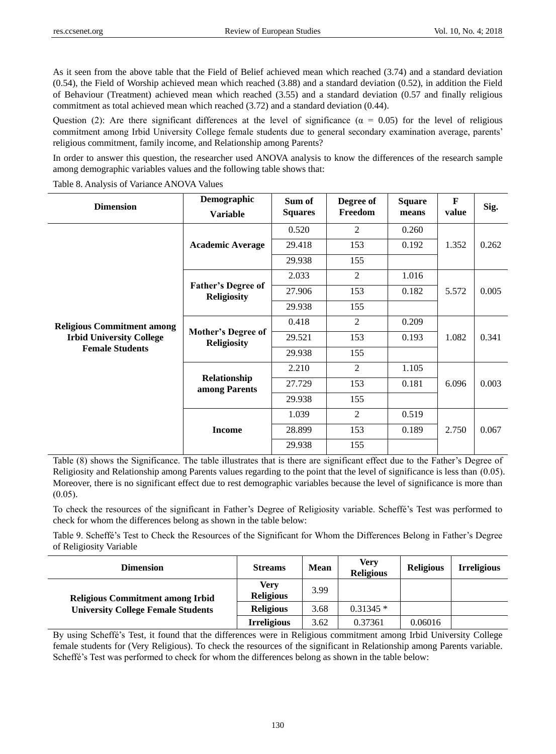As it seen from the above table that the Field of Belief achieved mean which reached (3.74) and a standard deviation (0.54), the Field of Worship achieved mean which reached (3.88) and a standard deviation (0.52), in addition the Field of Behaviour (Treatment) achieved mean which reached (3.55) and a standard deviation (0.57 and finally religious commitment as total achieved mean which reached (3.72) and a standard deviation (0.44).

Question (2): Are there significant differences at the level of significance ( $\alpha = 0.05$ ) for the level of religious commitment among Irbid University College female students due to general secondary examination average, parents" religious commitment, family income, and Relationship among Parents?

In order to answer this question, the researcher used ANOVA analysis to know the differences of the research sample among demographic variables values and the following table shows that:

|  | Table 8. Analysis of Variance ANOVA Values |
|--|--------------------------------------------|
|--|--------------------------------------------|

| <b>Dimension</b>                  | Demographic<br><b>Variable</b>                  | Sum of<br><b>Squares</b> | Degree of<br>Freedom | <b>Square</b><br>means | F<br>value | Sig.  |
|-----------------------------------|-------------------------------------------------|--------------------------|----------------------|------------------------|------------|-------|
|                                   |                                                 | 0.520                    | 2                    | 0.260                  |            |       |
|                                   | <b>Academic Average</b>                         | 29.418                   | 153                  | 0.192                  | 1.352      | 0.262 |
|                                   |                                                 | 29.938                   | 155                  |                        |            |       |
|                                   |                                                 | 2.033                    | $\overline{2}$       | 1.016                  |            |       |
|                                   | <b>Father's Degree of</b><br><b>Religiosity</b> | 27.906                   | 153                  | 0.182                  | 5.572      | 0.005 |
|                                   |                                                 | 29.938                   | 155                  |                        |            |       |
| <b>Religious Commitment among</b> | <b>Mother's Degree of</b><br><b>Religiosity</b> | 0.418                    | $\overline{2}$       | 0.209                  | 1.082      | 0.341 |
| <b>Irbid University College</b>   |                                                 | 29.521                   | 153                  | 0.193                  |            |       |
| <b>Female Students</b>            |                                                 | 29.938                   | 155                  |                        |            |       |
|                                   |                                                 | 2.210                    | $\overline{2}$       | 1.105                  |            |       |
|                                   | Relationship<br>among Parents                   | 27.729                   | 153                  | 0.181                  | 6.096      | 0.003 |
|                                   |                                                 | 29.938                   | 155                  |                        |            |       |
|                                   |                                                 | 1.039                    | $\overline{2}$       | 0.519                  |            |       |
|                                   | <b>Income</b>                                   | 28.899                   | 153                  | 0.189                  | 2.750      | 0.067 |
|                                   |                                                 | 29.938                   | 155                  |                        |            |       |

Table (8) shows the Significance. The table illustrates that is there are significant effect due to the Father"s Degree of Religiosity and Relationship among Parents values regarding to the point that the level of significance is less than  $(0.05)$ . Moreover, there is no significant effect due to rest demographic variables because the level of significance is more than  $(0.05)$ .

To check the resources of the significant in Father"s Degree of Religiosity variable. Scheffé"s Test was performed to check for whom the differences belong as shown in the table below:

Table 9. Scheffé's Test to Check the Resources of the Significant for Whom the Differences Belong in Father's Degree of Religiosity Variable

| <b>Dimension</b>                                                                     | <b>Streams</b>           | <b>Mean</b> | Verv<br><b>Religious</b> | <b>Religious</b> | <b>Irreligious</b> |
|--------------------------------------------------------------------------------------|--------------------------|-------------|--------------------------|------------------|--------------------|
| <b>Religious Commitment among Irbid</b><br><b>University College Female Students</b> | Verv<br><b>Religious</b> | 3.99        |                          |                  |                    |
|                                                                                      | <b>Religious</b>         | 3.68        | $0.31345*$               |                  |                    |
|                                                                                      | <b>Irreligious</b>       | 3.62        | 0.37361                  | 0.06016          |                    |

By using Scheffé"s Test, it found that the differences were in Religious commitment among Irbid University College female students for (Very Religious). To check the resources of the significant in Relationship among Parents variable. Scheffé's Test was performed to check for whom the differences belong as shown in the table below: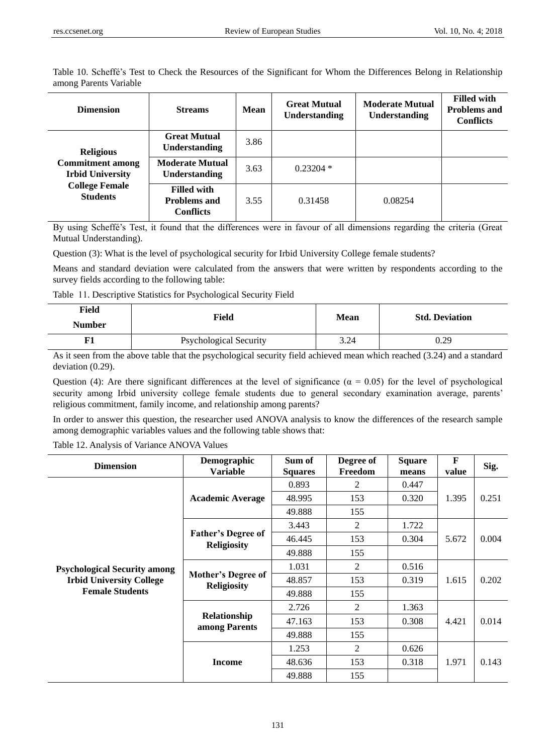Table 10. Scheffé"s Test to Check the Resources of the Significant for Whom the Differences Belong in Relationship among Parents Variable

| <b>Dimension</b>                                   | <b>Streams</b>                                                | <b>Mean</b> | <b>Great Mutual</b><br><b>Understanding</b> | <b>Moderate Mutual</b><br><b>Understanding</b> | <b>Filled with</b><br><b>Problems and</b><br><b>Conflicts</b> |
|----------------------------------------------------|---------------------------------------------------------------|-------------|---------------------------------------------|------------------------------------------------|---------------------------------------------------------------|
| <b>Religious</b>                                   | <b>Great Mutual</b><br><b>Understanding</b>                   | 3.86        |                                             |                                                |                                                               |
| <b>Commitment among</b><br><b>Irbid University</b> | <b>Moderate Mutual</b><br><b>Understanding</b>                | 3.63        | $0.23204*$                                  |                                                |                                                               |
| <b>College Female</b><br><b>Students</b>           | <b>Filled with</b><br><b>Problems and</b><br><b>Conflicts</b> | 3.55        | 0.31458                                     | 0.08254                                        |                                                               |

By using Scheffé"s Test, it found that the differences were in favour of all dimensions regarding the criteria (Great Mutual Understanding).

Question (3): What is the level of psychological security for Irbid University College female students?

Means and standard deviation were calculated from the answers that were written by respondents according to the survey fields according to the following table:

Table 11. Descriptive Statistics for Psychological Security Field

| Field<br><b>Number</b> | Field                         | Mean | <b>Std. Deviation</b> |
|------------------------|-------------------------------|------|-----------------------|
| F1                     | <b>Psychological Security</b> | 3.24 | 0.29                  |

As it seen from the above table that the psychological security field achieved mean which reached (3.24) and a standard deviation (0.29).

Question (4): Are there significant differences at the level of significance ( $\alpha = 0.05$ ) for the level of psychological security among Irbid university college female students due to general secondary examination average, parents' religious commitment, family income, and relationship among parents?

In order to answer this question, the researcher used ANOVA analysis to know the differences of the research sample among demographic variables values and the following table shows that:

Table 12. Analysis of Variance ANOVA Values

| <b>Dimension</b>                                                                                 | Demographic<br><b>Variable</b>                  | Sum of<br><b>Squares</b> | Degree of<br>Freedom | <b>Square</b><br>means | F<br>value | Sig.  |
|--------------------------------------------------------------------------------------------------|-------------------------------------------------|--------------------------|----------------------|------------------------|------------|-------|
|                                                                                                  |                                                 | 0.893                    | 2                    | 0.447                  | 1.395      | 0.251 |
|                                                                                                  | <b>Academic Average</b>                         | 48.995                   | 153                  | 0.320                  |            |       |
|                                                                                                  |                                                 | 49.888                   | 155                  |                        |            |       |
|                                                                                                  | <b>Father's Degree of</b><br><b>Religiosity</b> | 3.443                    | 2                    | 1.722                  |            | 0.004 |
| <b>Psychological Security among</b><br><b>Irbid University College</b><br><b>Female Students</b> |                                                 | 46.445                   | 153                  | 0.304                  | 5.672      |       |
|                                                                                                  |                                                 | 49.888                   | 155                  |                        |            |       |
|                                                                                                  | Mother's Degree of<br><b>Religiosity</b>        | 1.031                    | 2                    | 0.516                  | 1.615      | 0.202 |
|                                                                                                  |                                                 | 48.857                   | 153                  | 0.319                  |            |       |
|                                                                                                  |                                                 | 49.888                   | 155                  |                        |            |       |
|                                                                                                  | Relationship<br>among Parents                   | 2.726                    | 2                    | 1.363                  |            |       |
|                                                                                                  |                                                 | 47.163                   | 153                  | 0.308                  | 4.421      | 0.014 |
|                                                                                                  |                                                 | 49.888                   | 155                  |                        |            |       |
|                                                                                                  | <b>Income</b>                                   | 1.253                    | 2                    | 0.626                  |            | 0.143 |
|                                                                                                  |                                                 | 48.636                   | 153                  | 0.318                  | 1.971      |       |
|                                                                                                  |                                                 | 49.888                   | 155                  |                        |            |       |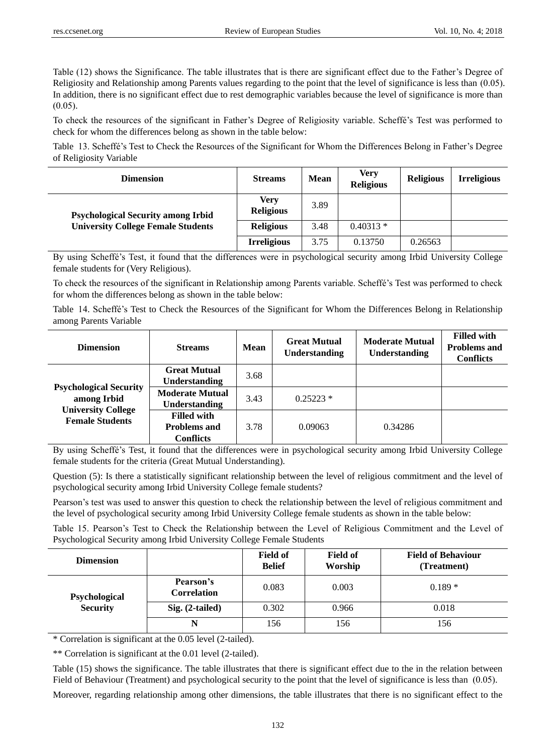Table (12) shows the Significance. The table illustrates that is there are significant effect due to the Father"s Degree of Religiosity and Relationship among Parents values regarding to the point that the level of significance is less than  $(0.05)$ . In addition, there is no significant effect due to rest demographic variables because the level of significance is more than  $(0.05)$ .

To check the resources of the significant in Father"s Degree of Religiosity variable. Scheffé"s Test was performed to check for whom the differences belong as shown in the table below:

Table 13. Scheffé"s Test to Check the Resources of the Significant for Whom the Differences Belong in Father"s Degree of Religiosity Variable

| <b>Dimension</b>                                                                       | <b>Streams</b>           | <b>Mean</b> | Verv<br><b>Religious</b> | <b>Religious</b> | <b>Irreligious</b> |
|----------------------------------------------------------------------------------------|--------------------------|-------------|--------------------------|------------------|--------------------|
| <b>Psychological Security among Irbid</b><br><b>University College Female Students</b> | Verv<br><b>Religious</b> | 3.89        |                          |                  |                    |
|                                                                                        | <b>Religious</b>         | 3.48        | $0.40313*$               |                  |                    |
|                                                                                        | <b>Irreligious</b>       | 3.75        | 0.13750                  | 0.26563          |                    |

By using Scheffé"s Test, it found that the differences were in psychological security among Irbid University College female students for (Very Religious).

To check the resources of the significant in Relationship among Parents variable. Scheffé"s Test was performed to check for whom the differences belong as shown in the table below:

Table 14. Scheffé"s Test to Check the Resources of the Significant for Whom the Differences Belong in Relationship among Parents Variable

| <b>Dimension</b>                                                                                    | <b>Streams</b>         | <b>Mean</b> | <b>Great Mutual</b><br>Understanding | <b>Moderate Mutual</b><br>Understanding | <b>Filled with</b><br><b>Problems and</b><br><b>Conflicts</b> |
|-----------------------------------------------------------------------------------------------------|------------------------|-------------|--------------------------------------|-----------------------------------------|---------------------------------------------------------------|
|                                                                                                     | <b>Great Mutual</b>    | 3.68        |                                      |                                         |                                                               |
| <b>Psychological Security</b><br>among Irbid<br><b>University College</b><br><b>Female Students</b> | <b>Understanding</b>   |             |                                      |                                         |                                                               |
|                                                                                                     | <b>Moderate Mutual</b> | 3.43        | $0.25223*$                           |                                         |                                                               |
|                                                                                                     | <b>Understanding</b>   |             |                                      |                                         |                                                               |
|                                                                                                     | <b>Filled with</b>     |             |                                      |                                         |                                                               |
|                                                                                                     | <b>Problems and</b>    | 3.78        | 0.09063                              | 0.34286                                 |                                                               |
|                                                                                                     | <b>Conflicts</b>       |             |                                      |                                         |                                                               |

By using Scheffé"s Test, it found that the differences were in psychological security among Irbid University College female students for the criteria (Great Mutual Understanding).

Question (5): Is there a statistically significant relationship between the level of religious commitment and the level of psychological security among Irbid University College female students?

Pearson"s test was used to answer this question to check the relationship between the level of religious commitment and the level of psychological security among Irbid University College female students as shown in the table below:

Table 15. Pearson"s Test to Check the Relationship between the Level of Religious Commitment and the Level of Psychological Security among Irbid University College Female Students

| <b>Dimension</b>                 |                                 | <b>Field of</b><br><b>Belief</b> | <b>Field of</b><br>Worship | <b>Field of Behaviour</b><br>(Treatment) |
|----------------------------------|---------------------------------|----------------------------------|----------------------------|------------------------------------------|
| Psychological<br><b>Security</b> | Pearson's<br><b>Correlation</b> | 0.083                            | 0.003                      | $0.189*$                                 |
|                                  | $Sig. (2-tailed)$               | 0.302                            | 0.966                      | 0.018                                    |
|                                  | N                               | 156                              | 156                        | 156                                      |

\* Correlation is significant at the 0.05 level (2-tailed).

\*\* Correlation is significant at the 0.01 level (2-tailed).

Table (15) shows the significance. The table illustrates that there is significant effect due to the in the relation between Field of Behaviour (Treatment) and psychological security to the point that the level of significance is less than  $(0.05)$ .

Moreover, regarding relationship among other dimensions, the table illustrates that there is no significant effect to the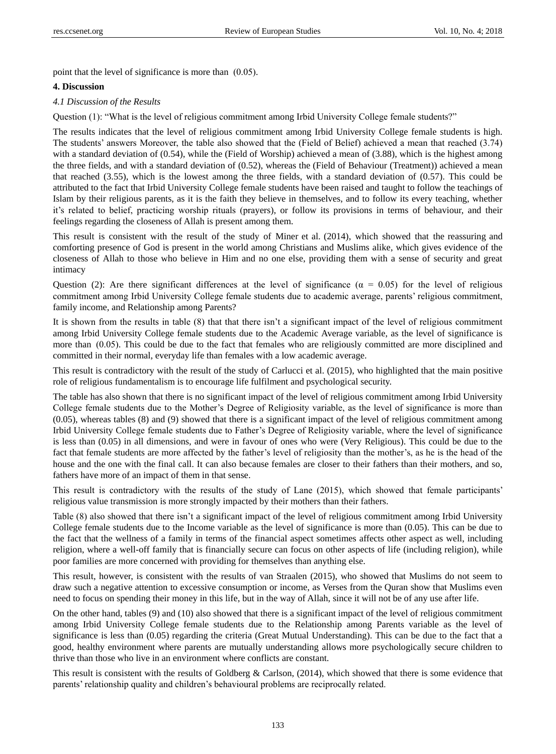point that the level of significance is more than  $(0.05)$ .

#### **4. Discussion**

#### *4.1 Discussion of the Results*

Question (1): "What is the level of religious commitment among Irbid University College female students?"

The results indicates that the level of religious commitment among Irbid University College female students is high. The students" answers Moreover, the table also showed that the (Field of Belief) achieved a mean that reached (3.74) with a standard deviation of (0.54), while the (Field of Worship) achieved a mean of (3.88), which is the highest among the three fields, and with a standard deviation of (0.52), whereas the (Field of Behaviour (Treatment)) achieved a mean that reached (3.55), which is the lowest among the three fields, with a standard deviation of (0.57). This could be attributed to the fact that Irbid University College female students have been raised and taught to follow the teachings of Islam by their religious parents, as it is the faith they believe in themselves, and to follow its every teaching, whether it's related to belief, practicing worship rituals (prayers), or follow its provisions in terms of behaviour, and their feelings regarding the closeness of Allah is present among them.

This result is consistent with the result of the study of Miner et al. (2014), which showed that the reassuring and comforting presence of God is present in the world among Christians and Muslims alike, which gives evidence of the closeness of Allah to those who believe in Him and no one else, providing them with a sense of security and great intimacy

Question (2): Are there significant differences at the level of significance ( $\alpha = 0.05$ ) for the level of religious commitment among Irbid University College female students due to academic average, parents" religious commitment, family income, and Relationship among Parents?

It is shown from the results in table (8) that that there isn"t a significant impact of the level of religious commitment among Irbid University College female students due to the Academic Average variable, as the level of significance is more than (0.05). This could be due to the fact that females who are religiously committed are more disciplined and committed in their normal, everyday life than females with a low academic average.

This result is contradictory with the result of the study of Carlucci et al. (2015), who highlighted that the main positive role of religious fundamentalism is to encourage life fulfilment and psychological security.

The table has also shown that there is no significant impact of the level of religious commitment among Irbid University College female students due to the Mother"s Degree of Religiosity variable, as the level of significance is more than (0.05), whereas tables (8) and (9) showed that there is a significant impact of the level of religious commitment among Irbid University College female students due to Father"s Degree of Religiosity variable, where the level of significance is less than (0.05) in all dimensions, and were in favour of ones who were (Very Religious). This could be due to the fact that female students are more affected by the father"s level of religiosity than the mother"s, as he is the head of the house and the one with the final call. It can also because females are closer to their fathers than their mothers, and so, fathers have more of an impact of them in that sense.

This result is contradictory with the results of the study of Lane (2015), which showed that female participants" religious value transmission is more strongly impacted by their mothers than their fathers.

Table (8) also showed that there isn"t a significant impact of the level of religious commitment among Irbid University College female students due to the Income variable as the level of significance is more than (0.05). This can be due to the fact that the wellness of a family in terms of the financial aspect sometimes affects other aspect as well, including religion, where a well-off family that is financially secure can focus on other aspects of life (including religion), while poor families are more concerned with providing for themselves than anything else.

This result, however, is consistent with the results of van Straalen (2015), who showed that Muslims do not seem to draw such a negative attention to excessive consumption or income, as Verses from the Quran show that Muslims even need to focus on spending their money in this life, but in the way of Allah, since it will not be of any use after life.

On the other hand, tables (9) and (10) also showed that there is a significant impact of the level of religious commitment among Irbid University College female students due to the Relationship among Parents variable as the level of significance is less than (0.05) regarding the criteria (Great Mutual Understanding). This can be due to the fact that a good, healthy environment where parents are mutually understanding allows more psychologically secure children to thrive than those who live in an environment where conflicts are constant.

This result is consistent with the results of Goldberg & Carlson,  $(2014)$ , which showed that there is some evidence that parents" relationship quality and children"s behavioural problems are reciprocally related.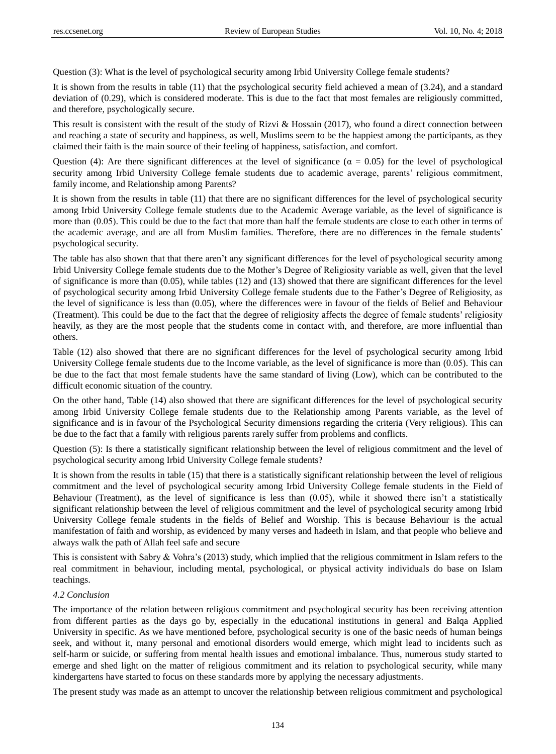Question (3): What is the level of psychological security among Irbid University College female students?

It is shown from the results in table (11) that the psychological security field achieved a mean of (3.24), and a standard deviation of (0.29), which is considered moderate. This is due to the fact that most females are religiously committed, and therefore, psychologically secure.

This result is consistent with the result of the study of Rizvi & Hossain (2017), who found a direct connection between and reaching a state of security and happiness, as well, Muslims seem to be the happiest among the participants, as they claimed their faith is the main source of their feeling of happiness, satisfaction, and comfort.

Question (4): Are there significant differences at the level of significance ( $\alpha = 0.05$ ) for the level of psychological security among Irbid University College female students due to academic average, parents" religious commitment, family income, and Relationship among Parents?

It is shown from the results in table (11) that there are no significant differences for the level of psychological security among Irbid University College female students due to the Academic Average variable, as the level of significance is more than (0.05). This could be due to the fact that more than half the female students are close to each other in terms of the academic average, and are all from Muslim families. Therefore, there are no differences in the female students" psychological security.

The table has also shown that that there aren"t any significant differences for the level of psychological security among Irbid University College female students due to the Mother"s Degree of Religiosity variable as well, given that the level of significance is more than (0.05), while tables (12) and (13) showed that there are significant differences for the level of psychological security among Irbid University College female students due to the Father"s Degree of Religiosity, as the level of significance is less than (0.05), where the differences were in favour of the fields of Belief and Behaviour (Treatment). This could be due to the fact that the degree of religiosity affects the degree of female students" religiosity heavily, as they are the most people that the students come in contact with, and therefore, are more influential than others.

Table (12) also showed that there are no significant differences for the level of psychological security among Irbid University College female students due to the Income variable, as the level of significance is more than (0005). This can be due to the fact that most female students have the same standard of living (Low), which can be contributed to the difficult economic situation of the country.

On the other hand, Table (14) also showed that there are significant differences for the level of psychological security among Irbid University College female students due to the Relationship among Parents variable, as the level of significance and is in favour of the Psychological Security dimensions regarding the criteria (Very religious). This can be due to the fact that a family with religious parents rarely suffer from problems and conflicts.

Question (5): Is there a statistically significant relationship between the level of religious commitment and the level of psychological security among Irbid University College female students?

It is shown from the results in table (15) that there is a statistically significant relationship between the level of religious commitment and the level of psychological security among Irbid University College female students in the Field of Behaviour (Treatment), as the level of significance is less than  $(0.05)$ , while it showed there isn't a statistically significant relationship between the level of religious commitment and the level of psychological security among Irbid University College female students in the fields of Belief and Worship. This is because Behaviour is the actual manifestation of faith and worship, as evidenced by many verses and hadeeth in Islam, and that people who believe and always walk the path of Allah feel safe and secure

This is consistent with Sabry & Vohra"s (2013) study, which implied that the religious commitment in Islam refers to the real commitment in behaviour, including mental, psychological, or physical activity individuals do base on Islam teachings.

#### *4.2 Conclusion*

The importance of the relation between religious commitment and psychological security has been receiving attention from different parties as the days go by, especially in the educational institutions in general and Balqa Applied University in specific. As we have mentioned before, psychological security is one of the basic needs of human beings seek, and without it, many personal and emotional disorders would emerge, which might lead to incidents such as self-harm or suicide, or suffering from mental health issues and emotional imbalance. Thus, numerous study started to emerge and shed light on the matter of religious commitment and its relation to psychological security, while many kindergartens have started to focus on these standards more by applying the necessary adjustments.

The present study was made as an attempt to uncover the relationship between religious commitment and psychological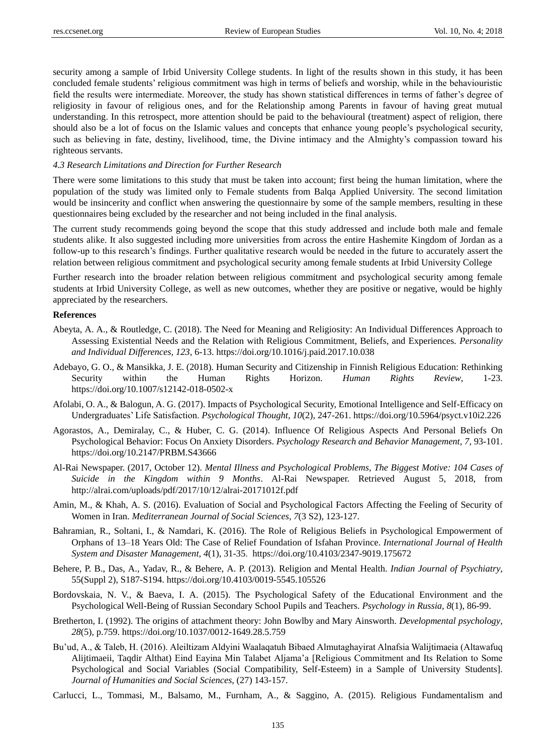security among a sample of Irbid University College students. In light of the results shown in this study, it has been concluded female students" religious commitment was high in terms of beliefs and worship, while in the behaviouristic field the results were intermediate. Moreover, the study has shown statistical differences in terms of father"s degree of religiosity in favour of religious ones, and for the Relationship among Parents in favour of having great mutual understanding. In this retrospect, more attention should be paid to the behavioural (treatment) aspect of religion, there should also be a lot of focus on the Islamic values and concepts that enhance young people"s psychological security, such as believing in fate, destiny, livelihood, time, the Divine intimacy and the Almighty's compassion toward his righteous servants.

## *4.3 Research Limitations and Direction for Further Research*

There were some limitations to this study that must be taken into account; first being the human limitation, where the population of the study was limited only to Female students from Balqa Applied University. The second limitation would be insincerity and conflict when answering the questionnaire by some of the sample members, resulting in these questionnaires being excluded by the researcher and not being included in the final analysis.

The current study recommends going beyond the scope that this study addressed and include both male and female students alike. It also suggested including more universities from across the entire Hashemite Kingdom of Jordan as a follow-up to this research"s findings. Further qualitative research would be needed in the future to accurately assert the relation between religious commitment and psychological security among female students at Irbid University College

Further research into the broader relation between religious commitment and psychological security among female students at Irbid University College, as well as new outcomes, whether they are positive or negative, would be highly appreciated by the researchers.

## **References**

- Abeyta, A. A., & Routledge, C. (2018). The Need for Meaning and Religiosity: An Individual Differences Approach to Assessing Existential Needs and the Relation with Religious Commitment, Beliefs, and Experiences. *Personality and Individual Differences, 123*, 6-13. <https://doi.org/10.1016/j.paid.2017.10.038>
- Adebayo, G. O., & Mansikka, J. E. (2018). Human Security and Citizenship in Finnish Religious Education: Rethinking Security within the Human Rights Horizon. *Human Rights Review*, 1-23. <https://doi.org/10.1007/s12142-018-0502-x>
- Afolabi, O. A., & Balogun, A. G. (2017). Impacts of Psychological Security, Emotional Intelligence and Self-Efficacy on Undergraduates" Life Satisfaction. *Psychological Thought, 10*(2), 247-261. <https://doi.org/10.5964/psyct.v10i2.226>
- Agorastos, A., Demiralay, C., & Huber, C. G. (2014). Influence Of Religious Aspects And Personal Beliefs On Psychological Behavior: Focus On Anxiety Disorders. *Psychology Research and Behavior Management, 7*, 93-101. <https://doi.org/10.2147/PRBM.S43666>
- Al-Rai Newspaper. (2017, October 12). *Mental Illness and Psychological Problems, The Biggest Motive: 104 Cases of Suicide in the Kingdom within 9 Months*. Al-Rai Newspaper. Retrieved August 5, 2018, from <http://alrai.com/uploads/pdf/2017/10/12/alrai-20171012f.pdf>
- Amin, M., & Khah, A. S. (2016). Evaluation of Social and Psychological Factors Affecting the Feeling of Security of Women in Iran. *Mediterranean Journal of Social Sciences, 7*(3 S2), 123-127.
- Bahramian, R., Soltani, I., & Namdari, K. (2016). The Role of Religious Beliefs in Psychological Empowerment of Orphans of 13–18 Years Old: The Case of Relief Foundation of Isfahan Province. *International Journal of Health System and Disaster Management, 4*(1), 31-35. <https://doi.org/10.4103/2347-9019.175672>
- Behere, P. B., Das, A., Yadav, R., & Behere, A. P. (2013). Religion and Mental Health. *Indian Journal of Psychiatry*, 55(Suppl 2), S187-S194. <https://doi.org/10.4103/0019-5545.105526>
- Bordovskaia, N. V., & Baeva, I. A. (2015). The Psychological Safety of the Educational Environment and the Psychological Well-Being of Russian Secondary School Pupils and Teachers. *Psychology in Russia, 8*(1), 86-99.
- Bretherton, I. (1992). The origins of attachment theory: John Bowlby and Mary Ainsworth. *Developmental psychology*, *28*(5), p.759. <https://doi.org/10.1037/0012-1649.28.5.759>
- Bu"ud, A., & Taleb, H. (2016). Aleiltizam Aldyini Waalaqatuh Bibaed Almutaghayirat Alnafsia Walijtimaeia (Altawafuq Alijtimaeii, Taqdir Althat) Eind Eayina Min Talabet Aljama"a [Religious Commitment and Its Relation to Some Psychological and Social Variables (Social Compatibility, Self-Esteem) in a Sample of University Students]. *Journal of Humanities and Social Sciences*, (27) 143-157.
- Carlucci, L., Tommasi, M., Balsamo, M., Furnham, A., & Saggino, A. (2015). Religious Fundamentalism and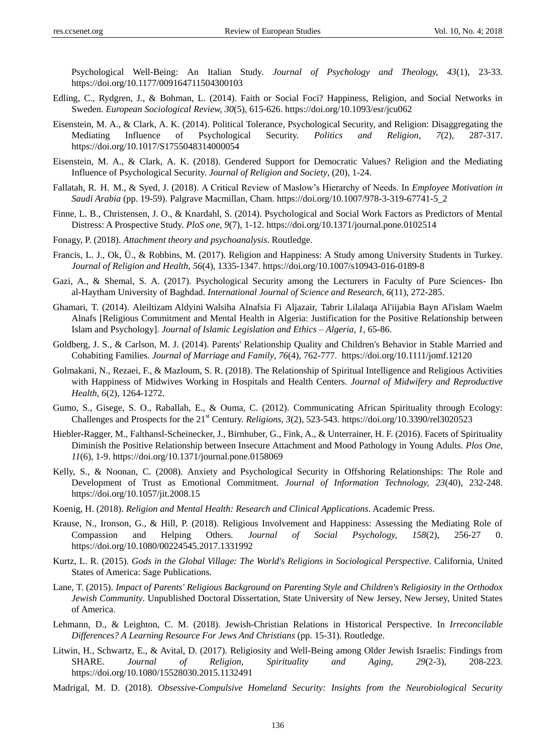Psychological Well-Being: An Italian Study. *Journal of Psychology and Theology, 43*(1), 23-33. <https://doi.org/10.1177/009164711504300103>

- Edling, C., Rydgren, J., & Bohman, L. (2014). Faith or Social Foci? Happiness, Religion, and Social Networks in Sweden. *European Sociological Review, 30*(5), 615-626. <https://doi.org/10.1093/esr/jcu062>
- Eisenstein, M. A., & Clark, A. K. (2014). Political Tolerance, Psychological Security, and Religion: Disaggregating the Mediating Influence of Psychological Security. *Politics and Religion, 7*(2), 287-317. <https://doi.org/10.1017/S1755048314000054>
- Eisenstein, M. A., & Clark, A. K. (2018). Gendered Support for Democratic Values? Religion and the Mediating Influence of Psychological Security. *Journal of Religion and Society*, (20), 1-24.
- Fallatah, R. H. M., & Syed, J. (2018). A Critical Review of Maslow"s Hierarchy of Needs. In *Employee Motivation in Saudi Arabia* (pp. 19-59). Palgrave Macmillan, Cham. [https://doi.org/10.1007/978-3-319-67741-5\\_2](https://doi.org/10.1007/978-3-319-67741-5_2)
- Finne, L. B., Christensen, J. O., & Knardahl, S. (2014). Psychological and Social Work Factors as Predictors of Mental Distress: A Prospective Study. *PloS one, 9*(7), 1-12. <https://doi.org/10.1371/journal.pone.0102514>
- Fonagy, P. (2018). *Attachment theory and psychoanalysis*. Routledge.
- Francis, L. J., Ok, Ü., & Robbins, M. (2017). Religion and Happiness: A Study among University Students in Turkey. *Journal of Religion and Health, 56*(4), 1335-1347. <https://doi.org/10.1007/s10943-016-0189-8>
- Gazi, A., & Shemal, S. A. (2017). Psychological Security among the Lecturers in Faculty of Pure Sciences- Ibn al-Haytham University of Baghdad. *International Journal of Science and Research, 6*(11), 272-285.
- Ghamari, T. (2014). Aleiltizam Aldyini Walsiha Alnafsia Fi Aljazair, Tabrir Lilalaqa Al'iijabia Bayn Al'islam Waelm Alnafs [Religious Commitment and Mental Health in Algeria: Justification for the Positive Relationship between Islam and Psychology]. *Journal of Islamic Legislation and Ethics – Algeria, 1*, 65-86.
- Goldberg, J. S., & Carlson, M. J. (2014). Parents' Relationship Quality and Children's Behavior in Stable Married and Cohabiting Families. *Journal of Marriage and Family*, *76*(4), 762-777. <https://doi.org/10.1111/jomf.12120>
- Golmakani, N., Rezaei, F., & Mazloum, S. R. (2018). The Relationship of Spiritual Intelligence and Religious Activities with Happiness of Midwives Working in Hospitals and Health Centers. *Journal of Midwifery and Reproductive Health, 6*(2), 1264-1272.
- Gumo, S., Gisege, S. O., Raballah, E., & Ouma, C. (2012). Communicating African Spirituality through Ecology: Challenges and Prospects for the 21<sup>st</sup> Century. *Religions*, 3(2), 523-543. <https://doi.org/10.3390/rel3020523>
- Hiebler-Ragger, M., Falthansl-Scheinecker, J., Birnhuber, G., Fink, A., & Unterrainer, H. F. (2016). Facets of Spirituality Diminish the Positive Relationship between Insecure Attachment and Mood Pathology in Young Adults. *Plos One*, *11*(6), 1-9. <https://doi.org/10.1371/journal.pone.0158069>
- Kelly, S., & Noonan, C. (2008). Anxiety and Psychological Security in Offshoring Relationships: The Role and Development of Trust as Emotional Commitment. *Journal of Information Technology, 23*(40), 232-248. <https://doi.org/10.1057/jit.2008.15>
- Koenig, H. (2018). *Religion and Mental Health: Research and Clinical Applications*. Academic Press.
- Krause, N., Ironson, G., & Hill, P. (2018). Religious Involvement and Happiness: Assessing the Mediating Role of Compassion and Helping Others. *Journal of Social Psychology, 158*(2), 256-27 0. <https://doi.org/10.1080/00224545.2017.1331992>
- Kurtz, L. R. (2015). *Gods in the Global Village: The World's Religions in Sociological Perspective*. California, United States of America: Sage Publications.
- Lane, T. (2015). *Impact of Parents' Religious Background on Parenting Style and Children's Religiosity in the Orthodox Jewish Community*. Unpublished Doctoral Dissertation, State University of New Jersey, New Jersey, United States of America.
- Lehmann, D., & Leighton, C. M. (2018). Jewish-Christian Relations in Historical Perspective. In *Irreconcilable Differences? A Learning Resource For Jews And Christians* (pp. 15-31). Routledge.
- Litwin, H., Schwartz, E., & Avital, D. (2017). Religiosity and Well-Being among Older Jewish Israelis: Findings from SHARE. *Journal of Religion, Spirituality and Aging, 29*(2-3), 208-223. <https://doi.org/10.1080/15528030.2015.1132491>
- Madrigal, M. D. (2018). *Obsessive-Compulsive Homeland Security: Insights from the Neurobiological Security*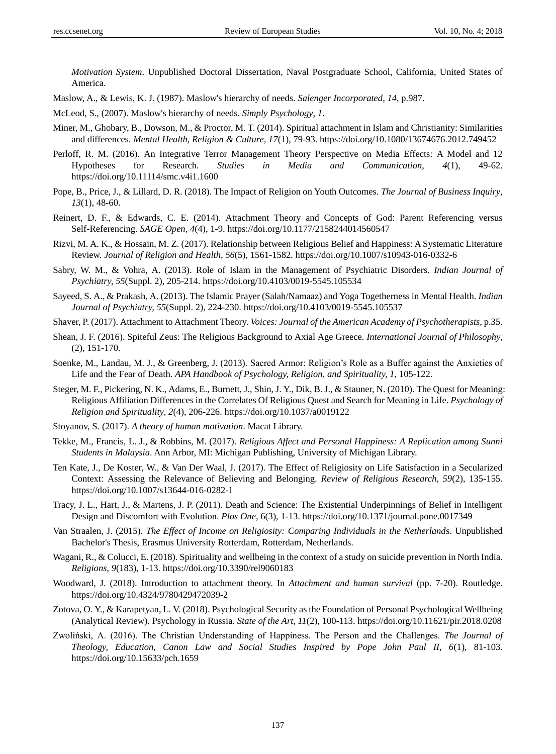*Motivation System*. Unpublished Doctoral Dissertation, Naval Postgraduate School, California, United States of America.

Maslow, A., & Lewis, K. J. (1987). Maslow's hierarchy of needs. *Salenger Incorporated*, *14*, p.987.

McLeod, S., (2007). Maslow's hierarchy of needs. *Simply Psychology*, *1*.

- Miner, M., Ghobary, B., Dowson, M., & Proctor, M. T. (2014). Spiritual attachment in Islam and Christianity: Similarities and differences. *Mental Health, Religion & Culture, 17*(1), 79-93. <https://doi.org/10.1080/13674676.2012.749452>
- Perloff, R. M. (2016). An Integrative Terror Management Theory Perspective on Media Effects: A Model and 12 Hypotheses for Research. *Studies in Media and Communication*, *4*(1), 49-62. <https://doi.org/10.11114/smc.v4i1.1600>
- Pope, B., Price, J., & Lillard, D. R. (2018). The Impact of Religion on Youth Outcomes. *The Journal of Business Inquiry*, *13*(1), 48-60.
- Reinert, D. F., & Edwards, C. E. (2014). Attachment Theory and Concepts of God: Parent Referencing versus Self-Referencing. *SAGE Open, 4*(4), 1-9. <https://doi.org/10.1177/2158244014560547>
- Rizvi, M. A. K., & Hossain, M. Z. (2017). Relationship between Religious Belief and Happiness: A Systematic Literature Review. *Journal of Religion and Health, 56*(5), 1561-1582. <https://doi.org/10.1007/s10943-016-0332-6>
- Sabry, W. M., & Vohra, A. (2013). Role of Islam in the Management of Psychiatric Disorders. *Indian Journal of Psychiatry, 55*(Suppl. 2), 205-214. <https://doi.org/10.4103/0019-5545.105534>
- Sayeed, S. A., & Prakash, A. (2013). The Islamic Prayer (Salah/Namaaz) and Yoga Togetherness in Mental Health. *Indian Journal of Psychiatry, 55*(Suppl. 2), 224-230. <https://doi.org/10.4103/0019-5545.105537>
- Shaver, P. (2017). Attachment to Attachment Theory. *Voices: Journal of the American Academy of Psychotherapists*, p.35.
- Shean, J. F. (2016). Spiteful Zeus: The Religious Background to Axial Age Greece. *International Journal of Philosophy*, (2), 151-170.
- Soenke, M., Landau, M. J., & Greenberg, J. (2013). Sacred Armor: Religion"s Role as a Buffer against the Anxieties of Life and the Fear of Death. *APA Handbook of Psychology, Religion, and Spirituality, 1,* 105-122.
- Steger, M. F., Pickering, N. K., Adams, E., Burnett, J., Shin, J. Y., Dik, B. J., & Stauner, N. (2010). The Quest for Meaning: Religious Affiliation Differences in the Correlates Of Religious Quest and Search for Meaning in Life. *Psychology of Religion and Spirituality*, *2*(4), 206-226. <https://doi.org/10.1037/a0019122>
- Stoyanov, S. (2017). *A theory of human motivation*. Macat Library.
- Tekke, M., Francis, L. J., & Robbins, M. (2017). *Religious Affect and Personal Happiness: A Replication among Sunni Students in Malaysia*. Ann Arbor, MI: Michigan Publishing, University of Michigan Library.
- Ten Kate, J., De Koster, W., & Van Der Waal, J. (2017). The Effect of Religiosity on Life Satisfaction in a Secularized Context: Assessing the Relevance of Believing and Belonging. *Review of Religious Research, 59*(2), 135-155. <https://doi.org/10.1007/s13644-016-0282-1>
- Tracy, J. L., Hart, J., & Martens, J. P. (2011). Death and Science: The Existential Underpinnings of Belief in Intelligent Design and Discomfort with Evolution. *Plos One*, 6(3), 1-13. <https://doi.org/10.1371/journal.pone.0017349>
- Van Straalen, J. (2015). *The Effect of Income on Religiosity: Comparing Individuals in the Netherland*s. Unpublished Bachelor's Thesis, Erasmus University Rotterdam, Rotterdam, Netherlands.
- Wagani, R., & Colucci, E. (2018). Spirituality and wellbeing in the context of a study on suicide prevention in North India. *Religions, 9*(183), 1-13. <https://doi.org/10.3390/rel9060183>
- Woodward, J. (2018). Introduction to attachment theory. In *Attachment and human survival* (pp. 7-20). Routledge. <https://doi.org/10.4324/9780429472039-2>
- Zotova, O. Y., & Karapetyan, L. V. (2018). Psychological Security as the Foundation of Personal Psychological Wellbeing (Analytical Review). Psychology in Russia. *State of the Art, 11*(2), 100-113. <https://doi.org/10.11621/pir.2018.0208>
- Zwoliński, A. (2016). The Christian Understanding of Happiness. The Person and the Challenges. *The Journal of Theology, Education, Canon Law and Social Studies Inspired by Pope John Paul II, 6*(1), 81-103. <https://doi.org/10.15633/pch.1659>